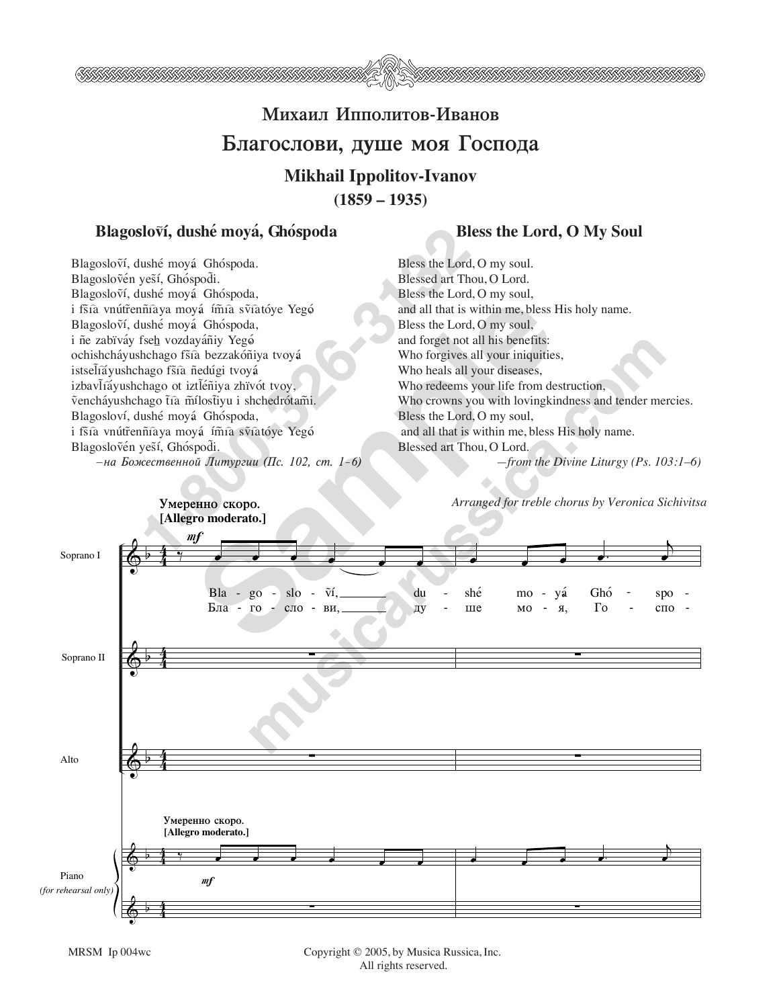

## **Михаил Ипполитов-Иванов** Благослови, душе моя Господа **Mikhail Ippolitov-Ivanov (1859 – 1935)**

## **Elagoslovi, dushé mová, Ghóspoda** Bless the Lord, O My Soul

**1-800**<br> **1-800**<br> **1-800**<br> **1-800**<br> **1-800**<br> **1-800**<br> **1-800**<br> **1-800**<br> **1-800**<br> **1-800**<br> **1-800**<br> **1-800**<br> **1-800**<br> **1-800**<br> **1-800**<br> **1-800**<br> **1-80**<br> **1-80**<br> **1-80**<br> **1-80**<br> **1-80**<br> **1-80**<br> **1-80**<br> **1-80**<br> **1-80**<br> **1-80** Blagosloví, dushé moyá Ghóspoda. Blagoslovén veší, Ghóspodi. Blagosloví, dushé moyá Ghóspoda, i fšíà vnútřenñíaya mová ím̃ía sṽíatóve Yegó Blagosloví, dushé moyá Ghóspoda, i ñe zabïváy fseh vozdayáñiy Yegó ochishcháyushchago fšíà bezzakóñiya tvoyá istsel̃íăyushchago fšía ñedúgi tvoyá izbavl̃iavushchago ot iztl̃éñiya zhïvót tvoy, vencháyushchago tra mílostiyu i shchedrótami. Blagosloví, dushé moyá Ghóspoda, i fšíà vnútřenñíaya moyá ím̃ía sṽíatóye Yegó Blagoslovén veší, Ghóspodi.

*—na BoΩestvennoj Liturgii (Ps. 102, st. 1–6)*

Bless the Lord, O my soul. Blessed art Thou, O Lord. Bless the Lord, O my soul, and all that is within me, bless His holy name. Bless the Lord, O my soul, and forget not all his benefits: Who forgives all your iniquities, Who heals all your diseases, Who redeems your life from destruction, Who crowns you with lovingkindness and tender mercies. Bless the Lord, O my soul, and all that is within me, bless His holy name. Blessed art Thou, O Lord. *—from the Divine Liturgy (Ps. 103:1–6)*

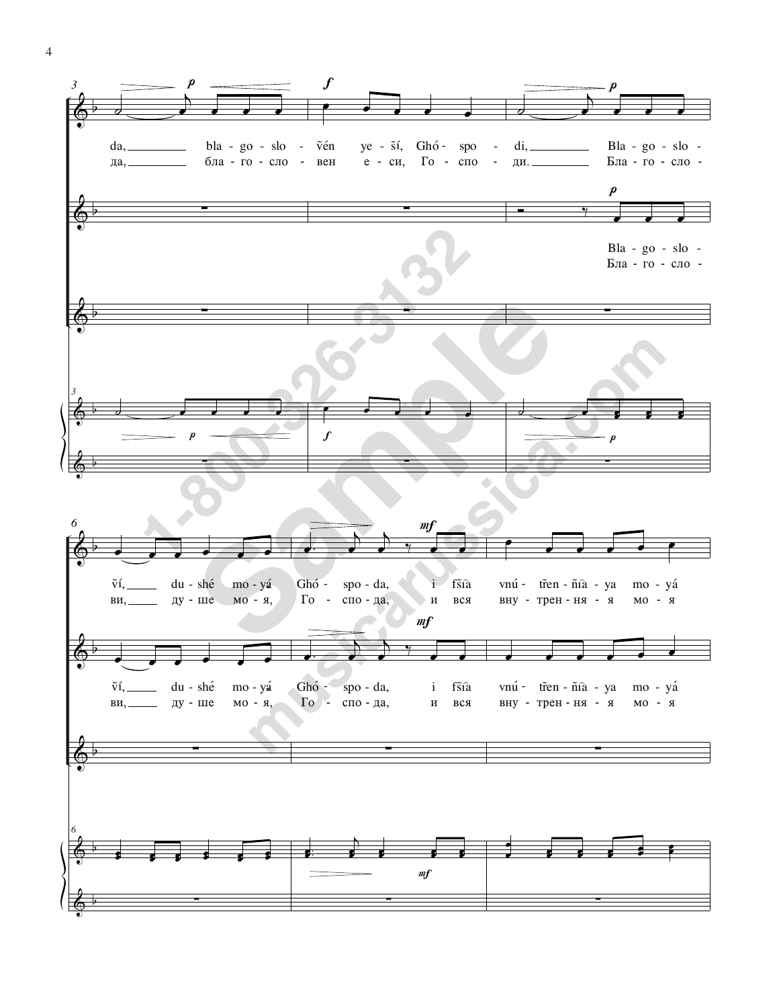4

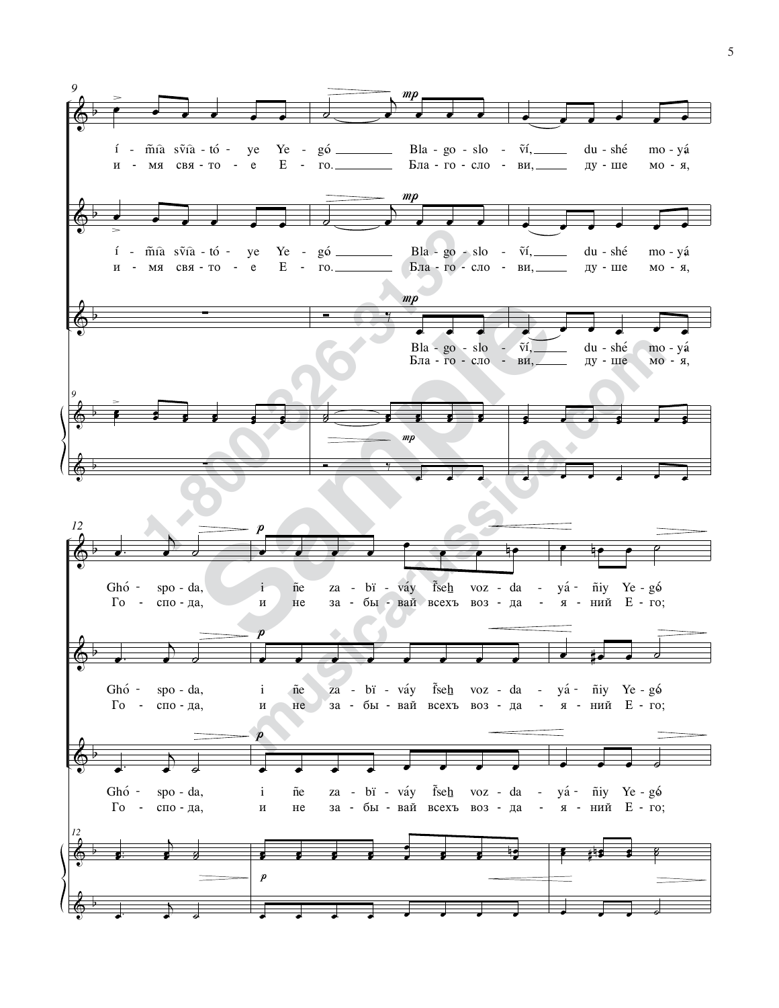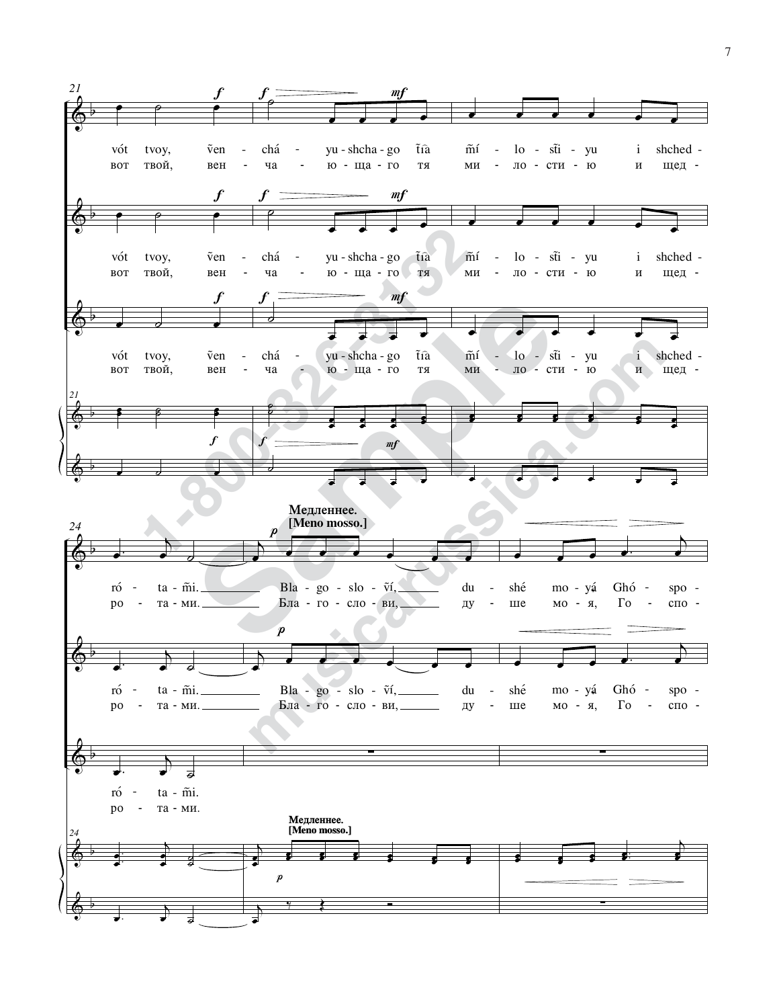